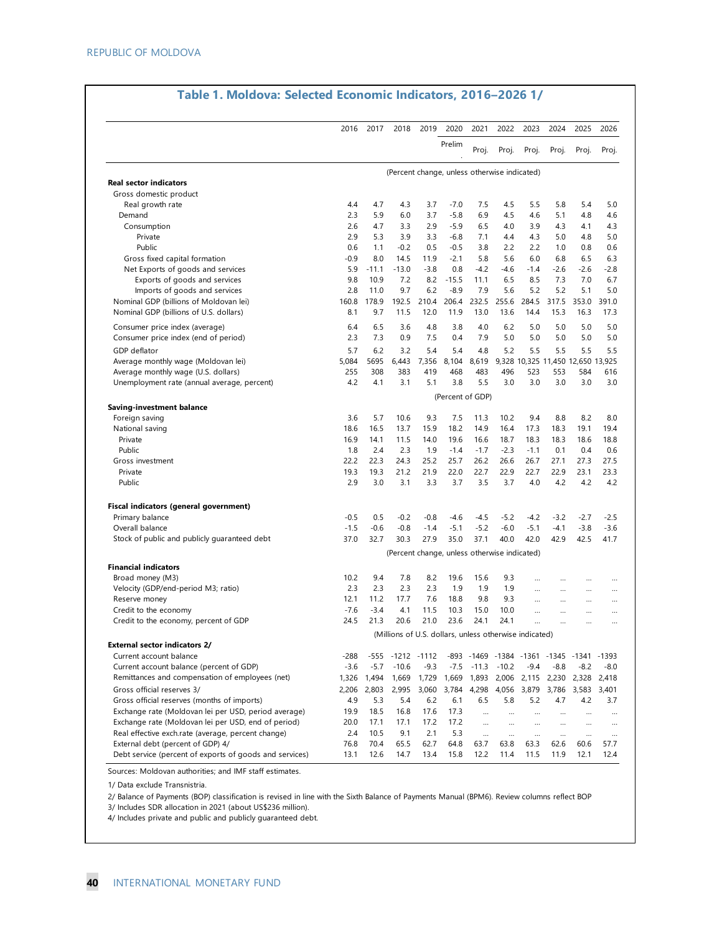| 2026<br>2025<br>Proj.<br>Proj.<br>5.4<br>5.0<br>4.8<br>4.6<br>4.1<br>4.3<br>4.8<br>5.0<br>0.8<br>0.6<br>6.5<br>6.3 |
|--------------------------------------------------------------------------------------------------------------------|
|                                                                                                                    |
|                                                                                                                    |
|                                                                                                                    |
|                                                                                                                    |
|                                                                                                                    |
|                                                                                                                    |
|                                                                                                                    |
|                                                                                                                    |
|                                                                                                                    |
|                                                                                                                    |
| $-2.8$<br>-2.6                                                                                                     |
| 7.0<br>6.7                                                                                                         |
| 5.1<br>5.0                                                                                                         |
| 391.0<br>353.0                                                                                                     |
| 16.3<br>17.3                                                                                                       |
| 5.0<br>5.0                                                                                                         |
| 5.0<br>5.0                                                                                                         |
| 5.5<br>5.5                                                                                                         |
| 9,328 10,325 11,450 12,650 13,925                                                                                  |
| 584<br>616                                                                                                         |
| 3.0<br>3.0                                                                                                         |
|                                                                                                                    |
|                                                                                                                    |
| 8.0<br>8.2                                                                                                         |
| 19.1<br>19.4                                                                                                       |
| 18.6<br>18.8                                                                                                       |
| 0.4<br>0.6                                                                                                         |
| 27.3<br>27.5                                                                                                       |
| 23.3<br>23.1<br>4.2<br>4.2                                                                                         |
|                                                                                                                    |
|                                                                                                                    |
| $-2.5$<br>$-2.7$                                                                                                   |
| $-3.8$<br>$-3.6$                                                                                                   |
| 42.5<br>41.7                                                                                                       |
|                                                                                                                    |
|                                                                                                                    |
|                                                                                                                    |
|                                                                                                                    |
|                                                                                                                    |
|                                                                                                                    |
|                                                                                                                    |
|                                                                                                                    |
| -893 -1469 -1384 -1361 -1345 -1341 -1393                                                                           |
| $-8.0$                                                                                                             |
| 1,893 2,006 2,115 2,230 2,328<br>2,418                                                                             |
| 3,583<br>3,401                                                                                                     |
| 3.7                                                                                                                |
|                                                                                                                    |
|                                                                                                                    |
|                                                                                                                    |
| 57.7                                                                                                               |
|                                                                                                                    |
| <br>$-8.2$<br>4.2<br>$\cdots$<br>$\ddotsc$<br>$\ddotsc$<br>60.6                                                    |

Sources: Moldovan authorities; and IMF staff estimates.

1/ Data exclude Transnistria.

3/ Includes SDR allocation in 2021 (about US\$236 million). 2/ Balance of Payments (BOP) classification is revised in line with the Sixth Balance of Payments Manual (BPM6). Review columns reflect BOP

4/ Includes private and public and publicly guaranteed debt.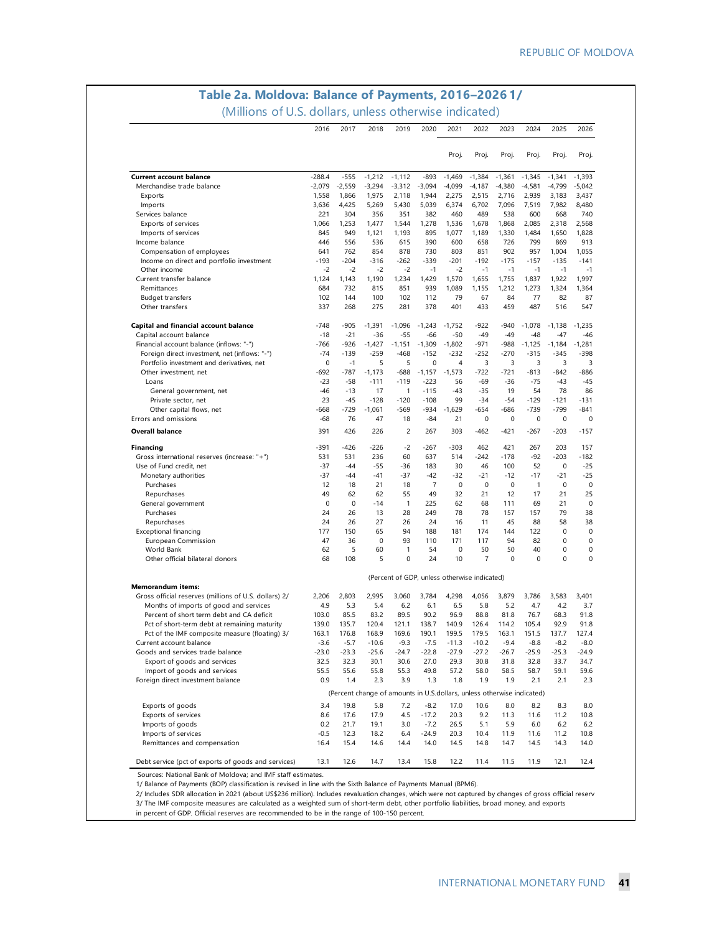### **Table 2a. Moldova: Balance of Payments, 2016–2026 1/** (Millions of U.S. dollars, unless otherwise indicated)

|                                                                                   | 2016     | 2017        | 2018                                                                   | 2019                                         | 2020           | 2021           | 2022        | 2023          | 2024         | 2025     | 2026     |
|-----------------------------------------------------------------------------------|----------|-------------|------------------------------------------------------------------------|----------------------------------------------|----------------|----------------|-------------|---------------|--------------|----------|----------|
|                                                                                   |          |             |                                                                        |                                              |                | Proj.          | Proj.       | Proj.         | Proj.        | Proj.    | Proj.    |
| <b>Current account balance</b>                                                    | $-288.4$ | $-555$      | $-1,212$                                                               | $-1,112$                                     | $-893$         | $-1,469$       | $-1,384$    | $-1,361$      | $-1.345$     | $-1,341$ | $-1,393$ |
| Merchandise trade balance                                                         | $-2,079$ | $-2,559$    | $-3,294$                                                               | $-3,312$                                     | $-3,094$       | $-4,099$       | $-4,187$    | $-4,380$      | $-4,581$     | $-4,799$ | $-5,042$ |
| Exports                                                                           | 1,558    | 1,866       | 1,975                                                                  | 2,118                                        | 1,944          | 2,275          | 2,515       | 2,716         | 2,939        | 3,183    | 3,437    |
| Imports                                                                           | 3,636    | 4,425       | 5,269                                                                  | 5,430                                        | 5,039          | 6,374          | 6,702       | 7,096         | 7,519        | 7,982    | 8,480    |
| Services balance                                                                  | 221      | 304         | 356                                                                    | 351                                          | 382            | 460            | 489         | 538           | 600          | 668      | 740      |
| Exports of services                                                               | 1,066    | 1,253       | 1,477                                                                  | 1,544                                        | 1,278          | 1,536          | 1,678       | 1,868         | 2,085        | 2,318    | 2,568    |
| Imports of services                                                               | 845      | 949         | 1,121                                                                  | 1,193                                        | 895            | 1,077          | 1,189       | 1,330         | 1,484        | 1,650    | 1,828    |
| Income balance                                                                    | 446      | 556         | 536                                                                    | 615                                          | 390            | 600            | 658         | 726           | 799          | 869      | 913      |
| Compensation of employees                                                         | 641      | 762         | 854                                                                    | 878                                          | 730            | 803            | 851         | 902           | 957          | 1,004    | 1,055    |
| Income on direct and portfolio investment                                         | $-193$   | $-204$      | $-316$                                                                 | $-262$                                       | $-339$         | $-201$         | $-192$      | $-175$        | $-157$       | $-135$   | $-141$   |
| Other income                                                                      | $-2$     | $-2$        | $-2$                                                                   | $-2$                                         | $-1$           | $-2$           | $-1$        | $-1$          | $-1$         | $-1$     | $-1$     |
| Current transfer balance                                                          | 1,124    | 1,143       | 1,190                                                                  | 1,234                                        | 1,429          | 1,570          | 1,655       | 1,755         | 1,837        | 1,922    | 1,997    |
| Remittances                                                                       | 684      | 732         | 815                                                                    | 851                                          | 939            | 1,089          | 1,155       | 1,212         | 1,273        | 1,324    | 1,364    |
| Budget transfers                                                                  | 102      | 144         | 100                                                                    | 102                                          | 112            | 79             | 67          | 84            | 77           | 82       | 87       |
| Other transfers                                                                   | 337      | 268         | 275                                                                    | 281                                          | 378            | 401            | 433         | 459           | 487          | 516      | 547      |
| Capital and financial account balance                                             | $-748$   | $-905$      | $-1,391$                                                               | $-1,096$                                     | $-1,243$       | $-1,752$       | $-922$      | $-940$        | $-1,078$     | $-1,138$ | $-1,235$ |
| Capital account balance                                                           | $-18$    | $-21$       | -36                                                                    | $-55$                                        | -66            | $-50$          | $-49$       | $-49$         | $-48$        | -47      | $-46$    |
| Financial account balance (inflows: "-")                                          | -766     | -926        | $-1,427$                                                               | $-1,151$                                     | $-1,309$       | $-1,802$       | $-971$      | $-988$        | $-1,125$     | $-1,184$ | $-1,281$ |
| Foreign direct investment, net (inflows: "-")                                     | $-74$    | $-139$      | $-259$                                                                 | $-468$                                       | $-152$         | $-232$         | $-252$      | $-270$        | $-315$       | $-345$   | -398     |
| Portfolio investment and derivatives, net                                         | 0        | $-1$        | 5                                                                      | 5                                            | 0              | $\overline{4}$ | 3           | 3             | 3            | 3        |          |
| Other investment, net                                                             | -692     | $-787$      | $-1,173$                                                               | $-688$                                       | $-1,157$       | $-1,573$       | $-722$      | $-721$        | $-813$       | $-842$   | -886     |
| Loans                                                                             | $-23$    | $-58$       | $-111$                                                                 | $-119$                                       | $-223$         | 56             | -69         | $-36$         | $-75$        | -43      | -45      |
| General government, net                                                           | -46      | $-13$       | 17                                                                     | $\mathbf{1}$                                 | $-115$         | $-43$          | $-35$       | 19            | 54           | 78       | 86       |
| Private sector, net                                                               | 23       | $-45$       | $-128$                                                                 | $-120$                                       | $-108$         | 99             | $-34$       | $-54$         | $-129$       | $-121$   | $-131$   |
| Other capital flows, net                                                          | $-668$   | $-729$      | $-1,061$                                                               | $-569$                                       | $-934$         | $-1.629$       | $-654$      | $-686$        | $-739$       | $-799$   | $-841$   |
| Errors and omissions                                                              | -68      | 76          | 47                                                                     | 18                                           | $-84$          | 21             | $\pmb{0}$   | $\pmb{0}$     | 0            | 0        |          |
| <b>Overall balance</b>                                                            | 391      | 426         | 226                                                                    | 2                                            | 267            | 303            | $-462$      | $-421$        | $-267$       | $-203$   | $-157$   |
| <b>Financing</b>                                                                  | -391     | $-426$      | $-226$                                                                 | $-2$                                         | $-267$         | $-303$         | 462         | 421           | 267          | 203      | 157      |
| Gross international reserves (increase: "+")                                      | 531      | 531         | 236                                                                    | 60                                           | 637            | 514            | $-242$      | $-178$        | -92          | $-203$   | -182     |
| Use of Fund credit, net                                                           | $-37$    | $-44$       | $-55$                                                                  | $-36$                                        | 183            | 30             | 46          | 100           | 52           | 0        | $-25$    |
| Monetary authorities                                                              | $-37$    | $-44$       | $-41$                                                                  | $-37$                                        | $-42$          | $-32$          | $-21$       | $-12$         | $-17$        | -21      | $-25$    |
| Purchases                                                                         | 12       | 18          | 21                                                                     | 18                                           | $\overline{7}$ | 0              | $\mathbf 0$ | 0             | $\mathbf{1}$ | 0        |          |
| Repurchases                                                                       | 49       | 62          | 62                                                                     | 55                                           | 49             | 32             | 21          | 12            | 17           | 21       | 25       |
| General government                                                                | 0        | $\mathbf 0$ | $-14$                                                                  | $\mathbf{1}$                                 | 225            | 62             | 68          | 111           | 69           | 21       |          |
| Purchases                                                                         | 24       | 26          | 13                                                                     | 28                                           | 249            | 78             | 78          | 157           | 157          | 79       | 38       |
| Repurchases                                                                       | 24       | 26          | 27                                                                     | 26                                           | 24             | 16             | 11          | 45            | 88           | 58       | 38       |
| <b>Exceptional financing</b>                                                      | 177      | 150         | 65                                                                     | 94                                           | 188            | 181            | 174         | 144           | 122          | 0        |          |
| European Commission                                                               | 47       | 36          | 0                                                                      | 93                                           | 110            | 171            | 117         | 94            | 82           | 0        |          |
| World Bank                                                                        | 62       | 5           | 60                                                                     | 1                                            | 54             | 0              | 50          | 50            | 40           | 0        |          |
| Other official bilateral donors                                                   | 68       | 108         | 5                                                                      | 0                                            | 24             | 10             | 7           | 0             | 0            | 0        |          |
|                                                                                   |          |             |                                                                        | (Percent of GDP, unless otherwise indicated) |                |                |             |               |              |          |          |
| <b>Memorandum items:</b><br>Gross official reserves (millions of U.S. dollars) 2/ | 2,206    | 2,803       | 2,995                                                                  | 3,060                                        | 3,784          | 4,298          | 4,056       | 3,879         | 3,786        | 3,583    | 3,401    |
| Months of imports of good and services                                            |          |             |                                                                        |                                              |                |                |             |               |              |          |          |
|                                                                                   | 4.9      | 5.3         | 5.4                                                                    | 6.2                                          | 6.1            | 6.5            | 5.8         | 5.2           | 4.7          | 4.2      | 3.7      |
| Percent of short term debt and CA deficit                                         | 103.0    | 85.5        | 83.2                                                                   | 89.5                                         | 90.2           | 96.9           | 88.8        | 81.8<br>114.2 | 76.7         | 68.3     | 91.8     |
| Pct of short-term debt at remaining maturity                                      | 139.0    | 135.7       | 120.4                                                                  | 121.1                                        | 138.7          | 140.9          | 126.4       |               | 105.4        | 92.9     | 91.8     |
| Pct of the IMF composite measure (floating) 3/                                    | 163.1    | 176.8       | 168.9                                                                  | 169.6                                        | 190.1          | 199.5          | 179.5       | 163.1         | 151.5        | 137.7    | 127.4    |
| Current account balance                                                           | $-3.6$   | $-5.7$      | $-10.6$                                                                | $-9.3$                                       | $-7.5$         | $-11.3$        | $-10.2$     | $-9.4$        | $-8.8$       | $-8.2$   | $-8.0$   |
| Goods and services trade balance                                                  | $-23.0$  | $-23.3$     | $-25.6$                                                                | $-24.7$                                      | $-22.8$        | $-27.9$        | $-27.2$     | $-26.7$       | $-25.9$      | $-25.3$  | $-24.9$  |
| Export of goods and services                                                      | 32.5     | 32.3        | 30.1                                                                   | 30.6                                         | 27.0           | 29.3           | 30.8        | 31.8          | 32.8         | 33.7     | 34.7     |
| Import of goods and services                                                      | 55.5     | 55.6        | 55.8                                                                   | 55.3                                         | 49.8           | 57.2           | 58.0        | 58.5          | 58.7         | 59.1     | 59.6     |
| Foreign direct investment balance                                                 | 0.9      | 1.4         | 2.3                                                                    | 3.9                                          | 1.3            | 1.8            | 1.9         | 1.9           | 2.1          | 2.1      | 2.3      |
|                                                                                   |          |             | (Percent change of amounts in U.S.dollars, unless otherwise indicated) |                                              |                |                |             |               |              |          |          |
| Exports of goods                                                                  | 3.4      | 19.8        | 5.8                                                                    | 7.2                                          | $-8.2$         | 17.0           | 10.6        | 8.0           | 8.2          | 8.3      | 8.0      |
| Exports of services                                                               | 8.6      | 17.6        | 17.9                                                                   | 4.5                                          | $-17.2$        | 20.3           | 9.2         | 11.3          | 11.6         | 11.2     | 10.8     |
| Imports of goods                                                                  | 0.2      | 21.7        | 19.1                                                                   | 3.0                                          | $-7.2$         | 26.5           | 5.1         | 5.9           | 6.0          | 6.2      | 6.2      |
| Imports of services                                                               | $-0.5$   | 12.3        | 18.2                                                                   | 6.4                                          | $-24.9$        | 20.3           | 10.4        | 11.9          | 11.6         | 11.2     | 10.8     |
| Remittances and compensation                                                      | 16.4     | 15.4        | 14.6                                                                   | 14.4                                         | 14.0           | 14.5           | 14.8        | 14.7          | 14.5         | 14.3     | 14.0     |
| Debt service (pct of exports of goods and services)                               | 13.1     | 12.6        | 14.7                                                                   | 13.4                                         | 15.8           | 12.2           | 11.4        | 11.5          | 11.9         | 12.1     | 12.4     |
|                                                                                   |          |             |                                                                        |                                              |                |                |             |               |              |          |          |

1/ Balance of Payments (BOP) classification is revised in line with the Sixth Balance of Payments Manual (BPM6).

2/ Includes SDR allocation in 2021 (about US\$236 million). Includes revaluation changes, which were not captured by changes of gross official reserv<br>3/ The IMF composite measures are calculated as a weighted sum of short-t

in percent of GDP. Official reserves are recommended to be in the range of 100-150 percent.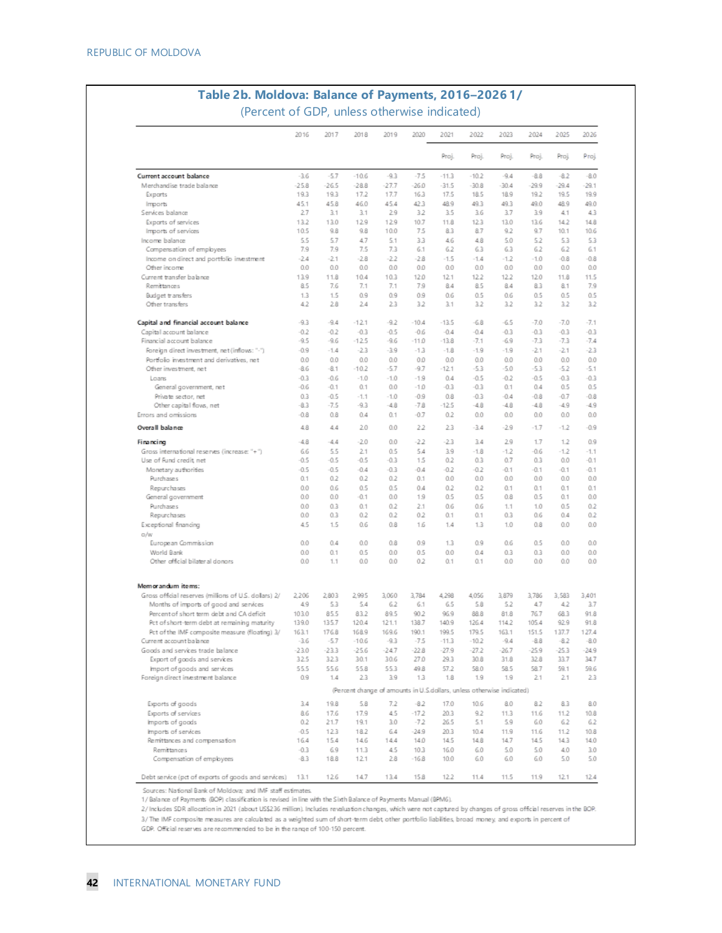|                                                                                           | 2016           | 2017          | 2018                                                                   | 2019          | 2020            | 2021          | 2022          | 2023          | 2024          | 2025          | 2026          |
|-------------------------------------------------------------------------------------------|----------------|---------------|------------------------------------------------------------------------|---------------|-----------------|---------------|---------------|---------------|---------------|---------------|---------------|
|                                                                                           |                |               |                                                                        |               |                 | Proj.         | Proj.         | Proj.         | Proj.         | Proj          | Proj          |
| Current account balance                                                                   | $-3.6$         | $-5.7$        | $-10.6$                                                                | $-9.3$        | $-7.5$          | $-11.3$       | $-10.2$       | -9.4          | $-8.8$        | $-8.2$        | $-8.0$        |
| Merchandise trade balance                                                                 | $-25.8$        | $-26.5$       | $-28.8$                                                                | $-27.7$       | $-26.0$         | $-31.5$       | $-30.8$       | $-30.4$       | $-29.9$       | $-29.4$       | $-29.1$       |
| Exports                                                                                   | 19.3           | 19.3          | 17.2                                                                   | 17.7          | 16.3            | 17.5          | 18.5          | 18.9          | 19.2          | 19.5          | 19.9          |
| <b>Imports</b>                                                                            | 45.1           | 45.8          | 46.0                                                                   | 45.4          | 42.3            | 48.9          | 49.3          | 49.3          | 49.0          | 48.9          | 49.0          |
| Services balance                                                                          | 27             | 3.1           | 3.1                                                                    | 29            | 32              | 3.5           | 3.6           | 3.7           | 3.9           | 4.1           | 43            |
| Exports of services                                                                       | 13.2           | 13.0          | 129                                                                    | 129           | 10.7            | 11.8          | 123           | 13.0<br>9.2   | 13.6          | 14.2          | 14.8          |
| Imports of services<br>Income balance                                                     | 10.5<br>5.5    | 9.8<br>5.7    | 9.8<br>47                                                              | 10.0<br>5.1   | 75<br>33        | 8.3<br>46     | 8.7<br>48     | 5.0           | 9.7<br>5.2    | 10.1<br>53    | 10.6<br>53    |
| Compersation of employees                                                                 | 7.9            | 7.9           | 7.5                                                                    | 7.3           | 6.1             | 62            | 63            | 63            | 6.2           | 62            | 6.1           |
| Income on direct and portfolio investment                                                 | $-2.4$         | $-2.1$        | $-2.8$                                                                 | $-22$         | $-2.8$          | $-1.5$        | $-1.4$        | $-1.2$        | $-1.0$        | $-0.8$        | $-0.8$        |
| Other income                                                                              | 0.0            | 0.0           | 0.0                                                                    | 0.0           | 0.0             | 0.0           | 0.0           | 0.0           | 0.0           | 0.0           | 0.0           |
| Current transfer balance                                                                  | 13.9           | 11.8          | 10.4                                                                   | 10.3          | 12.0            | 12.1          | 12.2          | 12.2          | 12.0          | 11.8          | 11.5          |
| Remittances                                                                               | 8.5            | 7.6           | 7.1                                                                    | 7.1           | 79              | 84            | 8.5           | 84            | 83            | 8.1           | 7.9           |
| Budget transfers                                                                          | 1.3            | 1.5           | 0.9                                                                    | 0.9           | 0.9             | 0.6           | 0.5           | 0.6           | 0.5           | 0.5           | 0.5           |
| Other transfers                                                                           | 42             | 28            | 24                                                                     | 23            | 32              | 3.1           | 3.2           | 3.2           | 3.2           | 3.2           | 3.2           |
| Capital and financial account balance                                                     | $-9.3$         | $-9.4$        | $-121$                                                                 | $-9.2$        | $-10.4$         | $-13.5$       | $-6.8$        | $-6.5$        | $-7.0$        | $-7.0$        | $-7.1$        |
| Capital account balance                                                                   | $-0.2$         | $-0.2$        | $-0.3$                                                                 | $-0.5$        | -0.6            | $-0.4$        | 0.4           | $-0.3$        | $-0.3$        | $-0.3$        | $-0.3$        |
| Financial account balance                                                                 | -9.5           | -9.6          | $-125$                                                                 | -9.6          | -11.0           | $-13.8$       | $-7.1$        | -6.9          | -7.3          | -7.3          | $-7.4$        |
| Foreign direct investment, net (inflows: "-")                                             | $-0.9$         | $-1.4$<br>0.0 | $-23$                                                                  | $-3.9$        | $-13$           | $-1.8$<br>0.0 | $-1.9$<br>0.0 | $-1.9$<br>0.0 | $-21$<br>0.0  | $-21$<br>0.0  | $-23$         |
| Portfolio investment and derivatives, net<br>Other investment, net                        | 0.0<br>-8.6    | $-8.1$        | 0.0<br>$-10.2$                                                         | 0.0<br>-5.7   | 0.0<br>-9.7     | $-12.1$       | -5.3          | -5.0          | -5.3          | -5.2          | 0.0<br>$-5.1$ |
| Loaris                                                                                    | $-0.3$         | -0.6          | $-1.0$                                                                 | $-1.0$        | $-1.9$          | 0.4           | -0.5          | $-0.2$        | -0.5          | -0.3          | $-0.3$        |
| General government, net                                                                   | -0.6           | $-0.1$        | 0.1                                                                    | 0.0           | -1.0            | $-0.3$        | $-0.3$        | 0.1           | 0.4           | 0.5           | 0.5           |
| Private sector, net                                                                       | 03             | $-0.5$        | $-1.1$                                                                 | $-1.0$        | $-0.9$          | 0.8           | $-0.3$        | $-0.4$        | $-0.8$        | $-0.7$        | $-0.8$        |
| Other capital flows, net                                                                  | -83            | -7.5          | -9.3                                                                   | $-4.8$        | -78             | $-12.5$       | $-4.8$        | -48           | -4.8          | $-4.9$        | -4.9          |
| Errors and omissions                                                                      | $-0.8$         | 0.8           | 0.4                                                                    | 0.1           | $-0.7$          | 0.2           | 0.0           | 0.0           | 0.0           | 0.0           | 0.0           |
| Overall balance                                                                           | 48             | 44            | 2.0                                                                    | 0.0           | 22              | 23            | -3.4          | $-2.9$        | $-1.7$        | $-1.2$        | 0.9           |
| Financing                                                                                 | -48            | 44            | $-2.0$                                                                 | 0.0           | -2.2            | $-23$         | 3.4           | 29            | 1.7           | 1.2           | 0.9           |
| Gross international reserves (increase: "+")                                              | 66             | 5.5           | 21                                                                     | 0.5           | 54              | 3.9           | $-1.8$        | $-1.2$        | $-0.6$        | $-1.2$        | $-1.1$        |
| Use of Fund credit, net                                                                   | $-0.5$         | $-0.5$        | $-0.5$                                                                 | $-0.3$        | 15              | 0.2           | 0.3           | 0.7           | 0.3           | 0.0           | $-0.1$        |
| Monetary authorities<br>Purchases                                                         | $-0.5$<br>0.1  | $-0.5$<br>0.2 | $-0.4$<br>0.2                                                          | $-0.3$<br>0.2 | $-0.4$<br>0.1   | $-0.2$<br>0.0 | $-0.2$<br>0.0 | $-0.1$<br>0.0 | $-0.1$<br>0.0 | $-0.1$<br>0.0 | $-0.1$<br>0.0 |
| Repurchases                                                                               | 0.0            | 0.6           | 0.5                                                                    | 0.5           | 0.4             | 0.2           | 0.2           | 0.1           | 0.1           | 0.1           | 0.1           |
| General government                                                                        | 0.0            | 0.0           | $-0.1$                                                                 | 0.0           | 1.9             | 0.5           | 0.5           | 0.8           | 0.5           | 0.1           | 0.0           |
| Purchases                                                                                 | 0.0            | 0.3           | 0.1                                                                    | 0.2           | 2.1             | 0.6           | 0.6           | 1.1           | 1.0           | 0.5           | 0.2           |
| Repurchases                                                                               | 0.0            | 0.3           | 0.2                                                                    | 0.2           | 02              | 0.1           | 0.1           | 0.3           | 0.6           | 0.4           | 0.2           |
| Exceptional financing                                                                     | 45             | 1.5           | 0.6                                                                    | 0.8           | 1.6             | 1.4           | 1.3           | 1.0           | 0.8           | αo            | 0.0           |
| a/w                                                                                       |                |               |                                                                        |               |                 |               |               |               |               |               |               |
| European Commission<br>World Bank                                                         | 0.0<br>0.0     | 0.4<br>0.1    | 0.0<br>0.5                                                             | 0.8<br>0.0    | 0.9<br>0.5      | 1.3<br>0.0    | 0.9<br>0.4    | 0.6<br>0.3    | 0.5<br>0.3    | 0.0<br>0.0    | 0.0<br>0.0    |
| Other official bilateral donors                                                           | 0.0            | 1.1           | 0.0                                                                    | 0.0           | 02              | 0.1           | 0.1           | 0.0           | 0.0           | 0.0           | 0.0           |
|                                                                                           |                |               |                                                                        |               |                 |               |               |               |               |               |               |
| Memorandum items:                                                                         |                |               |                                                                        |               |                 |               |               |               |               |               |               |
| Gross official reserves (millions of U.S. dollars) 2/                                     | 2.206          | 2.803         | 2995                                                                   | 3.060         | 3,784           | 4.298         | 4.056         | 3,879         | 3,786         | 3.583         | 3,401         |
| Months of imports of good and services                                                    | 49             | 5.3           | 5.4                                                                    | 62            | 6.1             | 65            | 5.8           | 5.2           | 47            | 42            | 3.7           |
| Percent of short term debt and CA deficit<br>Pct of short-term debt at remaining maturity | 103.0<br>139.0 | 85.5<br>135.7 | 83.2<br>120.4                                                          | 89.5<br>121.1 | 90.2<br>138.7   | 96.9<br>140.9 | 88.8<br>126.4 | 81.8<br>114.2 | 76.7<br>105.4 | 68.3<br>92.9  | 91.8<br>91.8  |
| Pct of the IMF composite measure (floating) 3/                                            | 163.1          | 176.8         | 168.9                                                                  | 169.6         | 190.1           | 199.5         | 179.5         | 163.1         | 151.5         | 137.7         | 127.4         |
| Current account balance                                                                   | $-3.6$         | $-5.7$        | $-10.6$                                                                | $-9.3$        | $-7.5$          | $-11.3$       | $-10.2$       | $-9.4$        | $-8.8$        | $-8.2$        | $-8.0$        |
| Goods and services trade balance                                                          | $-23.0$        | $-23.3$       | $-25.6$                                                                | $-247$        | $-22.8$         | $-27.9$       | $-27.2$       | -26.7         | $-25.9$       | $-25.3$       | $-24.9$       |
| Export of goods and services                                                              | 325            | 323           | 30.1                                                                   | 30.6          | 27.0            | 29.3          | 30.8          | 31.8          | 32.8          | 33.7          | 34.7          |
| Import of goods and services                                                              | 55.5           | 55.6          | 55.8                                                                   | 553           | 49.8            | 57.2          | 58.0          | 58.5          | 58.7          | 59.1          | 59.6          |
| Foreign direct investment balance                                                         | 0.9            | 1.4           | 23                                                                     | 3.9           | 13              | 1.8           | 1.9           | 1.9           | 21            | 2.1           | 23            |
|                                                                                           |                |               | (Percent change of amounts in U.S.dollars, unless otherwise indicated) |               |                 |               |               |               |               |               |               |
| Exports of goods                                                                          | 3.4            | 19.8          | 5.8                                                                    | 7.2           | $-8.2$          | 17.0          | 10.6          | 8.0           | 8.2           | 83            | 8.0           |
| Exports of services                                                                       | 8.6            | 17.6          | 17.9                                                                   | 45            | $-172$          | 20.3          | 9.2           | 11.3          | 11.6          | 11.2          | 10.8          |
| Imports of goods                                                                          | 0.2            | 21.7          | 19.1                                                                   | 3.0           | $-72$           | 26.5          | 5.1           | 5.9           | 6.0           | 6.2           | 6.2           |
| Imports of services<br>Remittances and compensation                                       | $-0.5$<br>16.4 | 123<br>15.4   | 18.2<br>14.6                                                           | 64<br>144     | $-24.9$<br>14.0 | 20.3<br>14.5  | 10.4<br>14.8  | 11.9<br>14.7  | 11.6<br>14.5  | 11.2<br>14.3  | 10.8<br>14.0  |
| Remittances                                                                               | $-0.3$         | 69            | 11.3                                                                   | 45            | 10.3            | 16.0          | 6.0           | 5.0           | 5.0           | 4.0           | 3.0           |
| Compensation of employees                                                                 | $-8.3$         | 18.8          | 121                                                                    | 28            | $-16.8$         | 10.0          | 6.0           | 6.0           | 6.0           | 5.0           | 5.0           |
| Debt service (pct of exports of goods and services)                                       | 13.1           | 126           | 14.7                                                                   | 13.4          | 15.8            | 12.2          | 11.4          | 11.5          | 11.9          | 12.1          | 12.4          |
|                                                                                           |                |               |                                                                        |               |                 |               |               |               |               |               |               |

Sources: National Bank of Moldova; and IMF staff estimates.

1/ Balance of Payments (BOP) classification is revised in line with the Sixth Balance of Payments Manual (BPM6).

2/ Includes SDR allocation in 2021 (about US\$236 million). Includes revaluation changes, which were not captured by changes of gross official reserves in the BOP. 3/ The IMF composite measures are calculated as a weighted sum of short-term debt, other portfolio liabilities, broad money, and exports in percent of

GDP. Official reserves are recommended to be in the range of 100-150 percent.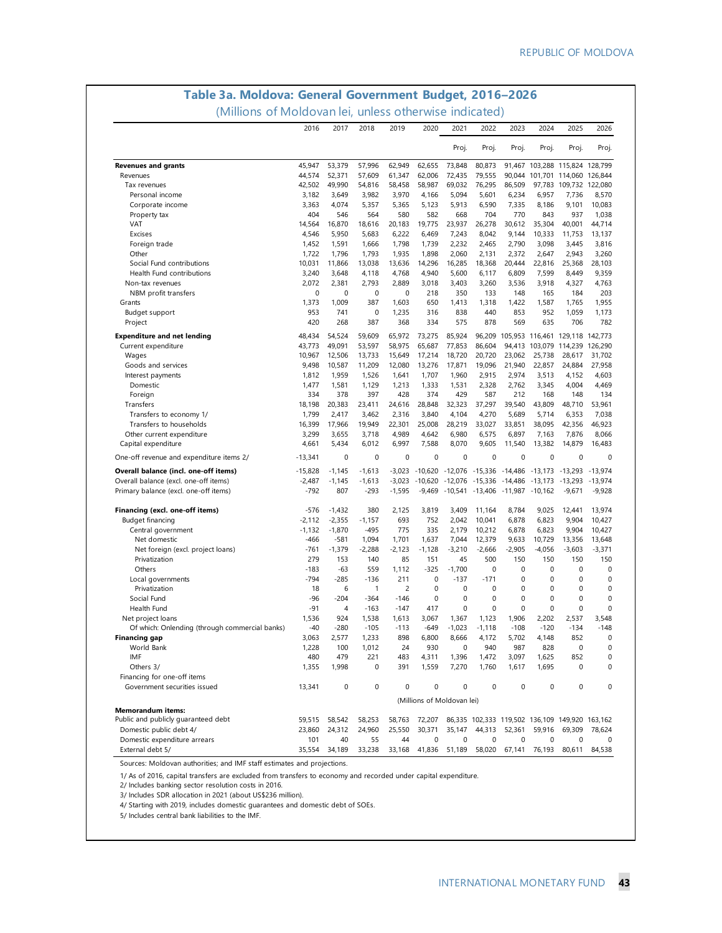# **Table 3a. Moldova: General Government Budget, 2016–2026**

(Millions of Moldovan lei, unless otherwise indicated)

|                                                | 2016         | 2017       | 2018         | 2019           | 2020                       | 2021        | 2022                                              | 2023        | 2024                                              | 2025                                                         | 2026        |
|------------------------------------------------|--------------|------------|--------------|----------------|----------------------------|-------------|---------------------------------------------------|-------------|---------------------------------------------------|--------------------------------------------------------------|-------------|
|                                                |              |            |              |                |                            | Proj.       | Proj.                                             | Proj.       | Proj.                                             | Proj.                                                        | Proj.       |
| <b>Revenues and grants</b>                     | 45,947       | 53,379     | 57,996       | 62,949         | 62,655                     | 73,848      | 80,873                                            |             |                                                   | 91,467 103,288 115,824 128,799                               |             |
| Revenues                                       | 44,574       | 52,371     | 57,609       | 61,347         | 62,006                     | 72,435      | 79,555                                            | 90,044      |                                                   | 101,701 114,060 126,844                                      |             |
| Tax revenues                                   | 42,502       | 49,990     | 54,816       | 58,458         | 58,987                     | 69,032      | 76,295                                            | 86,509      |                                                   | 97,783 109,732 122,080                                       |             |
| Personal income                                | 3,182        | 3,649      | 3,982        | 3,970          | 4,166                      | 5,094       | 5,601                                             | 6,234       | 6,957                                             | 7,736                                                        | 8,570       |
| Corporate income                               | 3,363        | 4,074      | 5,357        | 5,365          | 5,123                      | 5,913       | 6,590                                             | 7,335       | 8,186                                             | 9,101                                                        | 10,083      |
| Property tax                                   | 404          | 546        | 564          | 580            | 582                        | 668         | 704                                               | 770         | 843                                               | 937                                                          | 1,038       |
| <b>VAT</b>                                     | 14,564       | 16,870     | 18,616       | 20,183         | 19,775                     | 23,937      | 26,278                                            | 30,612      | 35,304                                            | 40,001                                                       | 44,714      |
| Excises                                        | 4,546        | 5,950      | 5,683        | 6,222          | 6,469                      | 7,243       | 8,042                                             | 9,144       | 10,333                                            | 11,753                                                       | 13,137      |
| Foreign trade                                  | 1,452        | 1,591      | 1,666        | 1,798          | 1,739                      | 2,232       | 2,465                                             | 2,790       | 3,098                                             | 3,445                                                        | 3,816       |
| Other                                          | 1,722        | 1,796      | 1,793        | 1,935          | 1,898                      | 2,060       | 2,131                                             | 2,372       | 2,647                                             | 2,943                                                        | 3,260       |
| Social Fund contributions                      | 10,031       | 11,866     | 13,038       | 13,636         | 14,296                     | 16,285      | 18,368                                            | 20,444      | 22,816                                            | 25,368                                                       | 28.103      |
| Health Fund contributions                      | 3,240        | 3,648      | 4,118        | 4,768          | 4,940                      | 5,600       | 6,117                                             | 6,809       | 7,599                                             | 8,449                                                        | 9,359       |
| Non-tax revenues                               | 2,072        | 2,381      | 2,793        | 2,889          | 3,018                      | 3,403       | 3,260                                             | 3,536       | 3,918                                             | 4,327                                                        | 4,763       |
| NBM profit transfers                           | $\mathbf 0$  | 0          | 0            | 0              | 218                        | 350         | 133                                               | 148         | 165                                               | 184                                                          | 203         |
| Grants                                         | 1,373        | 1,009      | 387          | 1,603          | 650                        | 1,413       | 1,318                                             | 1,422       | 1,587                                             | 1,765                                                        | 1,955       |
| Budget support                                 | 953          | 741        | 0            | 1,235          | 316                        | 838         | 440                                               | 853         | 952                                               | 1,059                                                        | 1,173       |
| Project                                        | 420          | 268        | 387          | 368            | 334                        | 575         | 878                                               | 569         | 635                                               | 706                                                          | 782         |
| <b>Expenditure and net lending</b>             | 48,434       | 54,524     | 59,609       | 65,972         | 73,275                     | 85,924      |                                                   |             |                                                   | 96,209 105,953 116,461 129,118 142,773                       |             |
| Current expenditure                            | 43,773       | 49,091     | 53,597       | 58,975         | 65,687                     | 77,853      | 86,604                                            |             |                                                   | 94,413 103,079 114,239 126,290                               |             |
| Wages                                          | 10,967       | 12,506     | 13,733       | 15,649         | 17,214                     | 18,720      | 20,720                                            | 23,062      | 25.738                                            | 28,617                                                       | 31.702      |
| Goods and services                             | 9,498        | 10,587     | 11,209       | 12,080         | 13,276                     | 17,871      | 19,096                                            | 21,940      | 22,857                                            | 24,884                                                       | 27,958      |
| Interest payments                              | 1,812        | 1,959      | 1,526        | 1,641          | 1,707                      | 1,960       | 2,915                                             | 2,974       | 3,513                                             | 4,152                                                        | 4,603       |
| Domestic                                       | 1,477        | 1,581      | 1,129        | 1,213          | 1,333                      | 1,531       | 2,328                                             | 2,762       | 3,345                                             | 4,004                                                        | 4,469       |
| Foreign                                        | 334          | 378        | 397          | 428            | 374                        | 429         | 587                                               | 212         | 168                                               | 148                                                          | 134         |
| Transfers                                      | 18,198       | 20,383     | 23,411       | 24,616         | 28,848                     | 32,323      | 37,297                                            | 39,540      | 43.809                                            | 48,710                                                       | 53,961      |
| Transfers to economy 1/                        | 1,799        | 2,417      | 3,462        | 2,316          | 3,840                      | 4,104       | 4,270                                             | 5,689       | 5,714                                             | 6,353                                                        | 7,038       |
| Transfers to households                        | 16,399       | 17,966     | 19,949       | 22,301         | 25.008                     | 28,219      | 33,027                                            | 33,851      | 38,095                                            | 42,356                                                       | 46,923      |
| Other current expenditure                      | 3,299        | 3,655      | 3,718        | 4,989          | 4,642                      | 6,980       | 6,575                                             | 6,897       | 7,163                                             | 7,876                                                        | 8,066       |
| Capital expenditure                            | 4,661        | 5,434      | 6,012        | 6,997          | 7,588                      | 8,070       | 9,605                                             | 11,540      | 13,382                                            | 14,879                                                       | 16,483      |
| One-off revenue and expenditure items 2/       | $-13,341$    | 0          | 0            | 0              | $\mathbf 0$                | $\mathbf 0$ | $\mathbf 0$                                       | 0           | $\mathbf 0$                                       | 0                                                            | $\mathbf 0$ |
| Overall balance (incl. one-off items)          | $-15,828$    | $-1,145$   | $-1,613$     | $-3,023$       |                            |             |                                                   |             | $-10,620$ $-12,076$ $-15,336$ $-14,486$ $-13,173$ | -13,293 -13,974                                              |             |
| Overall balance (excl. one-off items)          | $-2,487$     | $-1,145$   | $-1,613$     | -3,023         |                            |             | $-10,620$ $-12,076$ $-15,336$ $-14,486$ $-13,173$ |             |                                                   | -13,293 -13,974                                              |             |
| Primary balance (excl. one-off items)          | $-792$       | 807        | $-293$       | $-1,595$       | $-9,469$                   |             | $-10,541$ $-13,406$ $-11,987$ $-10,162$           |             |                                                   | $-9,671$                                                     | $-9,928$    |
| Financing (excl. one-off items)                | $-576$       | $-1,432$   | 380          | 2,125          | 3,819                      | 3,409       | 11,164                                            | 8,784       | 9,025                                             | 12,441                                                       | 13,974      |
| Budget financing                               | $-2,112$     | $-2,355$   | $-1,157$     | 693            | 752                        | 2,042       | 10,041                                            | 6,878       | 6,823                                             | 9,904                                                        | 10,427      |
| Central government                             | $-1,132$     | $-1,870$   | $-495$       | 775            | 335                        | 2,179       | 10,212                                            | 6,878       | 6,823                                             | 9,904                                                        | 10,427      |
| Net domestic                                   | $-466$       | $-581$     | 1,094        | 1,701          | 1,637                      | 7,044       | 12,379                                            | 9,633       | 10,729                                            | 13,356                                                       | 13,648      |
| Net foreign (excl. project loans)              | $-761$       | $-1,379$   | $-2,288$     | -2,123         | $-1,128$                   | $-3,210$    | $-2,666$                                          | $-2,905$    | $-4,056$                                          | $-3,603$                                                     | $-3,371$    |
| Privatization                                  | 279          | 153        | 140          | 85             | 151                        | 45          | 500                                               | 150         | 150                                               | 150                                                          | 150         |
| Others                                         | $-183$       | $-63$      | 559          | 1,112          | $-325$                     | $-1,700$    | 0                                                 | $\mathbf 0$ | $\mathbf 0$                                       | $\mathbf 0$                                                  | $\mathbf 0$ |
| Local governments                              | $-794$       | $-285$     | $-136$       | 211            | $\mathbf 0$                | $-137$      | $-171$                                            | $\mathbf 0$ | $\mathbf 0$                                       | $\mathbf 0$                                                  | $\mathbf 0$ |
| Privatization                                  | 18           | 6          | $\mathbf{1}$ | $\overline{c}$ | $\mathbf 0$                | 0           | $\mathbf 0$                                       | 0           | $\mathbf 0$                                       | $\mathbf 0$                                                  | 0           |
| Social Fund                                    | -96          | $-204$     | $-364$       | $-146$         | 0                          | 0           | 0                                                 | 0           | $\pmb{0}$                                         | 0                                                            | 0           |
| Health Fund                                    | -91          | 4          | $-163$       | $-147$         | 417                        | 0           | 0                                                 | $\mathbf 0$ | $\mathbf 0$                                       | 0                                                            | 0           |
| Net project loans                              | 1,536        | 924        | 1,538        | 1,613          | 3,067                      | 1,367       | 1,123                                             | 1,906       | 2,202                                             | 2,537                                                        | 3,548       |
|                                                | $-40$        | -280       | $-105$       | $-113$         | -649                       | $-1,023$    | -1,118                                            | $-108$      | $-120$                                            | $-134$                                                       | $-148$      |
| Of which: Onlending (through commercial banks) | 3,063        | 2,577      | 1,233        | 898            | 6,800                      | 8,666       | 4,172                                             | 5,702       | 4,148                                             | 852                                                          | $\mathbf 0$ |
| <b>Financing gap</b>                           |              |            |              |                |                            |             |                                                   |             |                                                   |                                                              | $\Omega$    |
| World Bank<br>IMF                              | 1,228<br>480 | 100<br>479 | 1,012<br>221 | 24<br>483      | 930                        | 1,396       | 940                                               | 987         | 828<br>1,625                                      | 0<br>852                                                     | 0           |
| Others 3/                                      | 1,355        |            | 0            | 391            | 4,311                      | 7,270       | 1,472<br>1,760                                    | 3,097       | 1,695                                             | 0                                                            | 0           |
| Financing for one-off items                    |              | 1,998      |              |                | 1,559                      |             |                                                   | 1,617       |                                                   |                                                              |             |
| Government securities issued                   | 13,341       | $\pmb{0}$  | 0            | $\mathbf 0$    | $\mathbf 0$                | 0           | 0                                                 | $\pmb{0}$   | $\mathbf 0$                                       | 0                                                            | 0           |
|                                                |              |            |              |                | (Millions of Moldovan lei) |             |                                                   |             |                                                   |                                                              |             |
| <b>Memorandum items:</b>                       |              |            |              |                |                            |             |                                                   |             |                                                   |                                                              |             |
| Public and publicly guaranteed debt            | 59,515       | 58,542     | 58,253       |                |                            |             |                                                   |             |                                                   | 58,763 72,207 86,335 102,333 119,502 136,109 149,920 163,162 |             |
| Domestic public debt 4/                        | 23,860       | 24,312     | 24,960       | 25,550         |                            |             |                                                   |             | 30,371 35,147 44,313 52,361 59,916                | 69,309                                                       | 78,624      |
| Domestic expenditure arrears                   | 101          | 40         | 55           | 44             | 0                          | 0           | 0                                                 | 0           | 0                                                 | 0                                                            | 0           |
| External debt 5/                               | 35,554       | 34,189     | 33,238       |                |                            |             |                                                   |             | 33,168 41,836 51,189 58,020 67,141 76,193 80,611  |                                                              | 84,538      |

Sources: Moldovan authorities; and IMF staff estimates and projections.

1/ As of 2016, capital transfers are excluded from transfers to economy and recorded under capital expenditure.

2/ Includes banking sector resolution costs in 2016.

3/ Includes SDR allocation in 2021 (about US\$236 million).

4/ Starting with 2019, includes domestic guarantees and domestic debt of SOEs.

5/ Includes central bank liabilities to the IMF.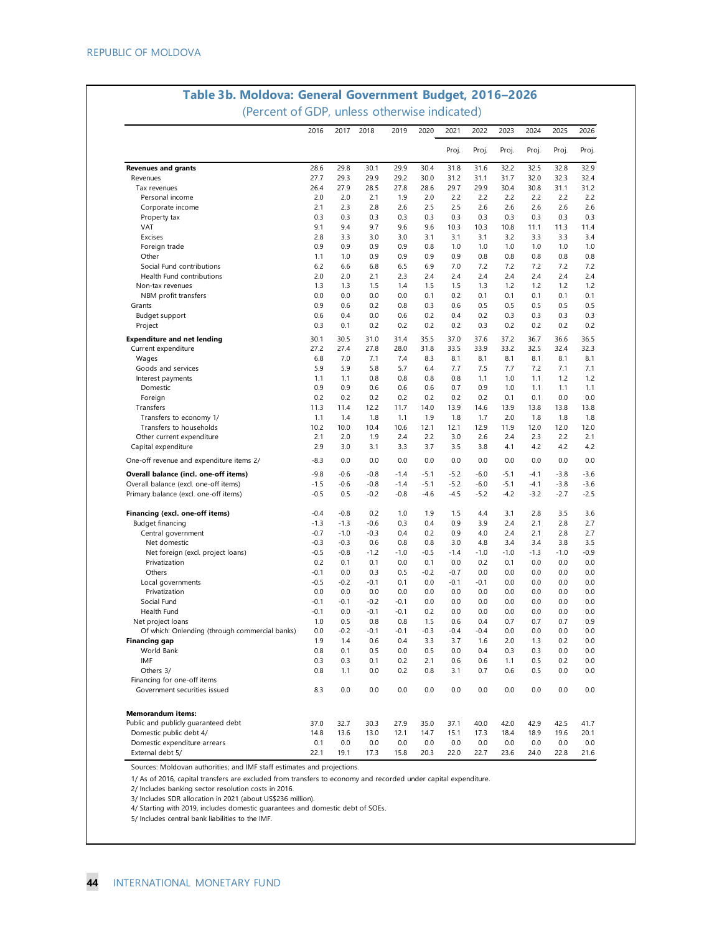|                                                                                | 2016             | 2017          | 2018             | 2019             | 2020             | 2021             | 2022             | 2023           | 2024           | 2025           | 2026           |
|--------------------------------------------------------------------------------|------------------|---------------|------------------|------------------|------------------|------------------|------------------|----------------|----------------|----------------|----------------|
|                                                                                |                  |               |                  |                  |                  | Proj.            | Proj.            | Proj.          | Proj.          | Proj.          | Proj.          |
| <b>Revenues and grants</b>                                                     | 28.6             | 29.8          | 30.1             | 29.9             | 30.4             | 31.8             | 31.6             | 32.2           | 32.5           | 32.8           | 32.9           |
| Revenues                                                                       | 27.7             | 29.3          | 29.9             | 29.2             | 30.0             | 31.2             | 31.1             | 31.7           | 32.0           | 32.3           | 32.4           |
| Tax revenues                                                                   | 26.4             | 27.9          | 28.5             | 27.8             | 28.6             | 29.7             | 29.9             | 30.4           | 30.8           | 31.1           | 31.2           |
| Personal income                                                                | 2.0              | 2.0           | 2.1              | 1.9              | 2.0              | 2.2              | 2.2              | 2.2            | 2.2            | 2.2            | 2.2            |
| Corporate income                                                               | 2.1              | 2.3           | 2.8              | 2.6              | 2.5              | 2.5              | 2.6              | 2.6            | 2.6            | 2.6            | 2.6            |
| Property tax                                                                   | 0.3              | 0.3           | 0.3              | 0.3              | 0.3              | 0.3              | 0.3              | 0.3            | 0.3            | 0.3            | 0.3            |
| <b>VAT</b>                                                                     | 9.1              | 9.4           | 9.7              | 9.6              | 9.6              | 10.3             | 10.3             | 10.8           | 11.1           | 11.3           | 11.4           |
| Excises                                                                        | 2.8              | 3.3           | 3.0              | 3.0              | 3.1              | 3.1              | 3.1              | 3.2            | 3.3            | 3.3            | 3.4            |
| Foreign trade                                                                  | 0.9              | 0.9           | 0.9              | 0.9              | 0.8              | 1.0              | 1.0              | 1.0            | 1.0            | 1.0            | 1.0            |
| Other                                                                          | 1.1              | 1.0           | 0.9              | 0.9              | 0.9              | 0.9              | 0.8              | 0.8            | 0.8            | 0.8            | 0.8            |
| Social Fund contributions                                                      | 6.2              | 6.6           | 6.8              | 6.5              | 6.9              | 7.0              | 7.2              | 7.2            | 7.2            | 7.2            | 7.2            |
| Health Fund contributions                                                      | 2.0              | 2.0           | 2.1              | 2.3              | 2.4              | 2.4              | 2.4              | 2.4            | 2.4            | 2.4            | 2.4            |
| Non-tax revenues                                                               | 1.3              | 1.3           | 1.5              | 1.4              | 1.5              | 1.5              | 1.3              | 1.2            | 1.2            | 1.2            | 1.2            |
| NBM profit transfers                                                           | 0.0              | 0.0           | 0.0              | 0.0              | 0.1              | 0.2              | 0.1              | 0.1            | 0.1            | 0.1            | 0.1            |
| Grants                                                                         | 0.9              | 0.6           | 0.2              | 0.8              | 0.3              | 0.6              | 0.5              | 0.5            | 0.5            | 0.5            | 0.5            |
| Budget support                                                                 | 0.6              | 0.4           | 0.0              | 0.6              | 0.2              | 0.4              | 0.2              | 0.3            | 0.3            | 0.3            | 0.3            |
| Project                                                                        | 0.3              | 0.1           | 0.2              | 0.2              | 0.2              | 0.2              | 0.3              | 0.2            | 0.2            | 0.2            | 0.2            |
| <b>Expenditure and net lending</b>                                             | 30.1             | 30.5          | 31.0             | 31.4             | 35.5             | 37.0             | 37.6             | 37.2           | 36.7           | 36.6           | 36.5           |
| Current expenditure                                                            | 27.2             | 27.4          | 27.8             | 28.0             | 31.8             | 33.5             | 33.9             | 33.2           | 32.5           | 32.4           | 32.3           |
| Wages                                                                          | 6.8              | 7.0           | 7.1              | 7.4              | 8.3              | 8.1              | 8.1              | 8.1            | 8.1            | 8.1            | 8.1            |
| Goods and services                                                             | 5.9              | 5.9           | 5.8              | 5.7              | 6.4              | 7.7              | 7.5              | 7.7            | 7.2            | 7.1            | 7.1            |
| Interest payments                                                              | 1.1              | 1.1           | 0.8              | 0.8              | 0.8              | 0.8              | 1.1              | 1.0            | 1.1            | 1.2            | 1.2            |
| Domestic                                                                       | 0.9              | 0.9           | 0.6              | 0.6              | 0.6              | 0.7              | 0.9              | 1.0            | 1.1            | 1.1            | 1.1            |
| Foreign                                                                        | 0.2              | 0.2           | 0.2              | 0.2              | 0.2              | 0.2              | 0.2              | 0.1            | 0.1            | 0.0            | 0.0            |
|                                                                                | 11.3             | 11.4          | 12.2             | 11.7             | 14.0             | 13.9             | 14.6             | 13.9           | 13.8           | 13.8           | 13.8           |
| Transfers                                                                      |                  |               |                  |                  |                  |                  |                  |                |                |                |                |
| Transfers to economy 1/                                                        | 1.1              | 1.4           | 1.8              | 1.1              | 1.9              | 1.8              | 1.7              | 2.0            | 1.8            | 1.8            | 1.8            |
| Transfers to households                                                        | 10.2             | 10.0          | 10.4             | 10.6             | 12.1             | 12.1             | 12.9             | 11.9           | 12.0           | 12.0           | 12.0           |
| Other current expenditure<br>Capital expenditure                               | 2.1<br>2.9       | 2.0<br>3.0    | 1.9<br>3.1       | 2.4<br>3.3       | 2.2<br>3.7       | 3.0<br>3.5       | 2.6<br>3.8       | 2.4<br>4.1     | 2.3<br>4.2     | 2.2<br>4.2     | 2.1<br>4.2     |
|                                                                                | $-8.3$           | 0.0           | 0.0              | 0.0              | 0.0              | 0.0              | 0.0              | 0.0            | 0.0            | 0.0            | 0.0            |
| One-off revenue and expenditure items 2/                                       |                  |               |                  |                  |                  |                  |                  |                |                |                |                |
| Overall balance (incl. one-off items)                                          | $-9.8$           | $-0.6$        | $-0.8$           | $-1.4$           | $-5.1$           | $-5.2$           | $-6.0$           | $-5.1$         | -4.1           | $-3.8$         | $-3.6$         |
| Overall balance (excl. one-off items)<br>Primary balance (excl. one-off items) | $-1.5$<br>$-0.5$ | $-0.6$<br>0.5 | $-0.8$<br>$-0.2$ | $-1.4$<br>$-0.8$ | $-5.1$<br>$-4.6$ | $-5.2$<br>$-4.5$ | $-6.0$<br>$-5.2$ | $-5.1$<br>-4.2 | $-4.1$<br>-3.2 | $-3.8$<br>-2.7 | $-3.6$<br>-2.5 |
|                                                                                |                  |               |                  |                  |                  |                  |                  |                |                |                |                |
| Financing (excl. one-off items)                                                | $-0.4$           | $-0.8$        | 0.2              | 1.0              | 1.9              | 1.5              | 4.4              | 3.1            | 2.8            | 3.5            | 3.6            |
| <b>Budget financing</b>                                                        | $-1.3$           | $-1.3$        | $-0.6$           | 0.3              | 0.4              | 0.9              | 3.9              | 2.4            | 2.1            | 2.8            | 2.7            |
| Central government                                                             | $-0.7$           | $-1.0$        | $-0.3$           | 0.4              | 0.2              | 0.9              | 4.0              | 2.4            | 2.1            | 2.8            | 2.7            |
| Net domestic                                                                   | $-0.3$           | $-0.3$        | 0.6              | 0.8              | 0.8              | 3.0              | 4.8              | 3.4            | 3.4            | 3.8            | 3.5            |
| Net foreign (excl. project loans)                                              | $-0.5$           | $-0.8$        | $-1.2$           | $-1.0$           | $-0.5$           | $-1.4$           | $-1.0$           | $-1.0$         | $-1.3$         | $-1.0$         | $-0.9$         |
| Privatization                                                                  | 0.2              | 0.1           | 0.1              | 0.0              | 0.1              | 0.0              | 0.2              | 0.1            | 0.0            | 0.0            | 0.0            |
| Others                                                                         | $-0.1$           | 0.0           | 0.3              | 0.5              | $-0.2$           | $-0.7$           | 0.0              | 0.0            | 0.0            | 0.0            | 0.0            |
| Local governments                                                              | $-0.5$           | $-0.2$        | $-0.1$           | 0.1              | 0.0              | $-0.1$           | -0.1             | 0.0            | 0.0            | 0.0            | 0.0            |
| Privatization                                                                  | 0.0              | 0.0           | 0.0              | 0.0              | 0.0              | 0.0              | 0.0              | 0.0            | 0.0            | 0.0            | 0.0            |
| Social Fund                                                                    | $-0.1$           | -0.1          | $-0.2$           | -0.1             | 0.0              | 0.0              | 0.0              | 0.0            | 0.0            | 0.0            | 0.0            |
| Health Fund                                                                    | $-0.1$           | 0.0           | $-0.1$           | -0.1             | 0.2              | 0.0              | 0.0              | 0.0            | 0.0            | 0.0            | 0.0            |
| Net project loans                                                              | 1.0              | 0.5           | 0.8              | 0.8              | 1.5              | 0.6              | 0.4              | 0.7            | 0.7            | 0.7            | 0.9            |
| Of which: Onlending (through commercial banks)                                 | 0.0              | $-0.2$        | $-0.1$           | $-0.1$           | $-0.3$           | $-0.4$           | $-0.4$           | 0.0            | 0.0            | 0.0            | 0.0            |
| <b>Financing gap</b>                                                           | 1.9              | 1.4           | 0.6              | 0.4              | 3.3              | 3.7              | 1.6              | 2.0            | 1.3            | 0.2            | 0.0            |
| World Bank                                                                     | 0.8              | 0.1           | 0.5              | 0.0              | 0.5              | 0.0              | 0.4              | 0.3            | 0.3            | 0.0            | 0.0            |
| <b>IMF</b>                                                                     | 0.3              | 0.3           | 0.1              | 0.2              | 2.1              | 0.6              | 0.6              | 1.1            | 0.5            | 0.2            | 0.0            |
| Others 3/                                                                      | 0.8              | 1.1           | 0.0              | 0.2              | 0.8              | 3.1              | 0.7              | 0.6            | 0.5            | 0.0            | 0.0            |
| Financing for one-off items                                                    |                  |               |                  |                  |                  |                  |                  |                |                |                |                |
| Government securities issued                                                   | 8.3              | 0.0           | 0.0              | 0.0              | 0.0              | 0.0              | 0.0              | 0.0            | 0.0            | 0.0            | 0.0            |
|                                                                                |                  |               |                  |                  |                  |                  |                  |                |                |                |                |
| <b>Memorandum items:</b>                                                       |                  |               |                  |                  |                  |                  |                  |                |                |                |                |
| Public and publicly guaranteed debt                                            | 37.0             | 32.7          | 30.3             | 27.9             | 35.0             | 37.1             | 40.0             | 42.0           | 42.9           | 42.5           | 41.7           |
| Domestic public debt 4/                                                        | 14.8             | 13.6          | 13.0             | 12.1             | 14.7             | 15.1             | 17.3             | 18.4           | 18.9           | 19.6           | 20.1           |
| Domestic expenditure arrears                                                   | 0.1              | 0.0           | 0.0              | 0.0              | 0.0              | 0.0              | 0.0              | 0.0            | 0.0            | 0.0            | 0.0            |
| External debt 5/                                                               | 22.1             | 19.1          | 17.3             | 15.8             | 20.3             | 22.0             | 22.7             | 23.6           | 24.0           | 22.8           | 21.6           |

## **Table 3b. Moldova: General Government Budget, 2016–2026**

Sources: Moldovan authorities; and IMF staff estimates and projections.

1/ As of 2016, capital transfers are excluded from transfers to economy and recorded under capital expenditure.

2/ Includes banking sector resolution costs in 2016.

3/ Includes SDR allocation in 2021 (about US\$236 million).

4/ Starting with 2019, includes domestic guarantees and domestic debt of SOEs.

5/ Includes central bank liabilities to the IMF.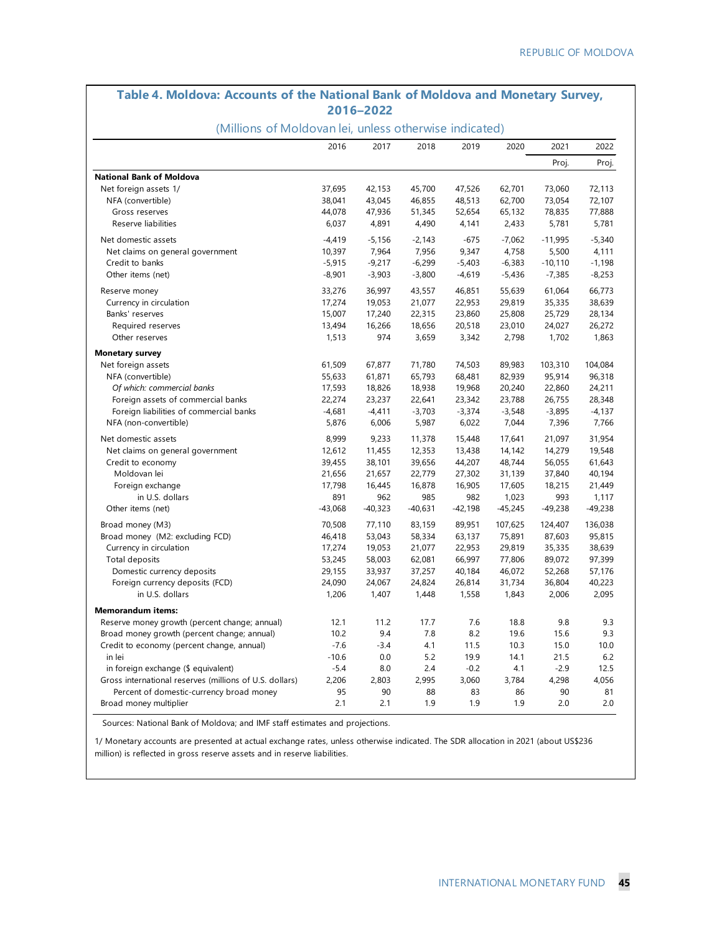### **Table 4. Moldova: Accounts of the National Bank of Moldova and Monetary Survey, 2016–2022**

#### (Millions of Moldovan lei, unless otherwise indicated)

|                                                         | 2016      | 2017      | 2018      | 2019      | 2020      | 2021      | 2022      |
|---------------------------------------------------------|-----------|-----------|-----------|-----------|-----------|-----------|-----------|
|                                                         |           |           |           |           |           | Proj.     | Proj.     |
| <b>National Bank of Moldova</b>                         |           |           |           |           |           |           |           |
| Net foreign assets 1/                                   | 37,695    | 42,153    | 45,700    | 47,526    | 62,701    | 73,060    | 72,113    |
| NFA (convertible)                                       | 38,041    | 43,045    | 46,855    | 48,513    | 62,700    | 73,054    | 72,107    |
| Gross reserves                                          | 44,078    | 47,936    | 51,345    | 52,654    | 65,132    | 78,835    | 77,888    |
| Reserve liabilities                                     | 6,037     | 4,891     | 4,490     | 4,141     | 2,433     | 5,781     | 5,781     |
| Net domestic assets                                     | $-4,419$  | $-5,156$  | $-2,143$  | $-675$    | $-7,062$  | $-11,995$ | $-5,340$  |
| Net claims on general government                        | 10,397    | 7,964     | 7,956     | 9,347     | 4,758     | 5,500     | 4,111     |
| Credit to banks                                         | $-5,915$  | $-9,217$  | $-6,299$  | $-5,403$  | $-6,383$  | $-10,110$ | $-1,198$  |
| Other items (net)                                       | $-8,901$  | $-3,903$  | $-3,800$  | $-4,619$  | $-5,436$  | $-7,385$  | $-8,253$  |
| Reserve money                                           | 33,276    | 36,997    | 43,557    | 46,851    | 55,639    | 61,064    | 66,773    |
| Currency in circulation                                 | 17,274    | 19,053    | 21,077    | 22,953    | 29,819    | 35,335    | 38,639    |
| Banks' reserves                                         | 15,007    | 17,240    | 22,315    | 23,860    | 25,808    | 25,729    | 28,134    |
| Required reserves                                       | 13,494    | 16,266    | 18,656    | 20,518    | 23,010    | 24,027    | 26,272    |
| Other reserves                                          | 1,513     | 974       | 3,659     | 3,342     | 2,798     | 1,702     | 1,863     |
| <b>Monetary survey</b>                                  |           |           |           |           |           |           |           |
| Net foreign assets                                      | 61,509    | 67,877    | 71,780    | 74,503    | 89,983    | 103,310   | 104,084   |
| NFA (convertible)                                       | 55,633    | 61,871    | 65,793    | 68,481    | 82,939    | 95,914    | 96,318    |
| Of which: commercial banks                              | 17,593    | 18,826    | 18,938    | 19,968    | 20,240    | 22,860    | 24,211    |
| Foreign assets of commercial banks                      | 22,274    | 23,237    | 22,641    | 23,342    | 23,788    | 26,755    | 28,348    |
| Foreign liabilities of commercial banks                 | $-4,681$  | $-4,411$  | $-3,703$  | $-3,374$  | $-3,548$  | $-3,895$  | $-4,137$  |
| NFA (non-convertible)                                   | 5,876     | 6,006     | 5,987     | 6,022     | 7,044     | 7,396     | 7,766     |
| Net domestic assets                                     | 8,999     | 9,233     | 11,378    | 15,448    | 17,641    | 21,097    | 31,954    |
| Net claims on general government                        | 12,612    | 11,455    | 12,353    | 13,438    | 14,142    | 14,279    | 19,548    |
| Credit to economy                                       | 39,455    | 38,101    | 39,656    | 44,207    | 48,744    | 56,055    | 61,643    |
| Moldovan lei                                            | 21,656    | 21,657    | 22,779    | 27,302    | 31,139    | 37,840    | 40,194    |
| Foreign exchange                                        | 17,798    | 16,445    | 16,878    | 16,905    | 17,605    | 18,215    | 21,449    |
| in U.S. dollars                                         | 891       | 962       | 985       | 982       | 1,023     | 993       | 1,117     |
| Other items (net)                                       | $-43,068$ | $-40,323$ | $-40,631$ | $-42,198$ | $-45,245$ | $-49,238$ | $-49,238$ |
| Broad money (M3)                                        | 70,508    | 77,110    | 83,159    | 89,951    | 107,625   | 124,407   | 136,038   |
| Broad money (M2: excluding FCD)                         | 46,418    | 53,043    | 58,334    | 63,137    | 75,891    | 87,603    | 95,815    |
| Currency in circulation                                 | 17,274    | 19,053    | 21,077    | 22,953    | 29,819    | 35,335    | 38,639    |
| <b>Total deposits</b>                                   | 53,245    | 58,003    | 62,081    | 66,997    | 77,806    | 89,072    | 97,399    |
| Domestic currency deposits                              | 29,155    | 33,937    | 37,257    | 40,184    | 46,072    | 52,268    | 57,176    |
| Foreign currency deposits (FCD)                         | 24,090    | 24,067    | 24,824    | 26,814    | 31,734    | 36,804    | 40,223    |
| in U.S. dollars                                         | 1,206     | 1,407     | 1,448     | 1,558     | 1,843     | 2,006     | 2,095     |
| <b>Memorandum items:</b>                                |           |           |           |           |           |           |           |
| Reserve money growth (percent change; annual)           | 12.1      | 11.2      | 17.7      | 7.6       | 18.8      | 9.8       | 9.3       |
| Broad money growth (percent change; annual)             | 10.2      | 9.4       | 7.8       | 8.2       | 19.6      | 15.6      | 9.3       |
| Credit to economy (percent change, annual)              | $-7.6$    | $-3.4$    | 4.1       | 11.5      | 10.3      | 15.0      | 10.0      |
| in lei                                                  | $-10.6$   | 0.0       | 5.2       | 19.9      | 14.1      | 21.5      | 6.2       |
| in foreign exchange (\$ equivalent)                     | $-5.4$    | 8.0       | 2.4       | $-0.2$    | 4.1       | $-2.9$    | 12.5      |
| Gross international reserves (millions of U.S. dollars) | 2,206     | 2,803     | 2,995     | 3,060     | 3,784     | 4,298     | 4,056     |
| Percent of domestic-currency broad money                | 95        | 90        | 88        | 83        | 86        | 90        | 81        |
| Broad money multiplier                                  | 2.1       | 2.1       | 1.9       | 1.9       | 1.9       | 2.0       | 2.0       |

Sources: National Bank of Moldova; and IMF staff estimates and projections.

1/ Monetary accounts are presented at actual exchange rates, unless otherwise indicated. The SDR allocation in 2021 (about US\$236 million) is reflected in gross reserve assets and in reserve liabilities.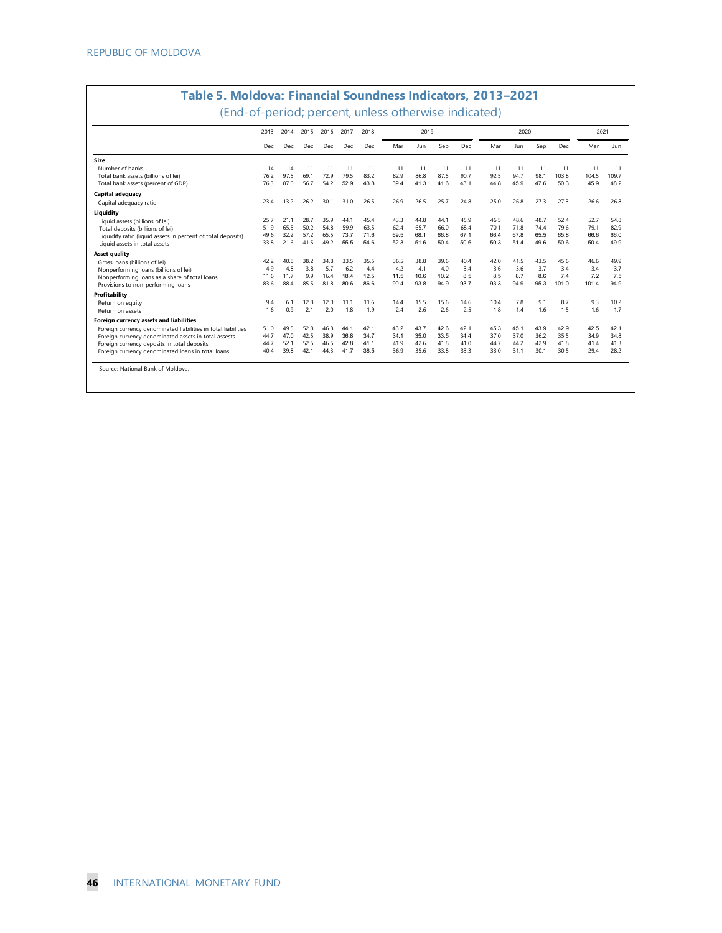|                                                               | 2013 | 2014 | 2015 | 2016<br>Dec | 2017 | 2018 |      | 2019 |      |      |      | 2020 |      |       |       | 2021       |
|---------------------------------------------------------------|------|------|------|-------------|------|------|------|------|------|------|------|------|------|-------|-------|------------|
|                                                               | Dec  | Dec  | Dec  |             | Dec  | Dec  | Mar  | Jun  | Sep  | Dec  | Mar  | Jun  | Sep  | Dec   | Mar   | <b>Jun</b> |
| Size                                                          |      |      |      |             |      |      |      |      |      |      |      |      |      |       |       |            |
| Number of banks                                               | 14   | 14   | 11   | 11          | 11   | 11   | 11   | 11   | 11   | 11   | 11   | 11   | 11   | 11    | 11    | 11         |
| Total bank assets (billions of lei)                           | 76.2 | 97.5 | 69.1 | 72.9        | 79.5 | 83.2 | 82.9 | 86.8 | 87.5 | 90.7 | 92.5 | 94.7 | 98.1 | 103.8 | 104.5 | 109.7      |
| Total bank assets (percent of GDP)                            | 76.3 | 87.0 | 56.7 | 54.2        | 52.9 | 43.8 | 39.4 | 41.3 | 41.6 | 43.1 | 44.8 | 45.9 | 47.6 | 50.3  | 45.9  | 48.2       |
| Capital adequacy                                              |      |      |      |             |      |      |      |      |      |      |      |      |      |       |       |            |
| Capital adequacy ratio                                        | 23.4 | 13.2 | 26.2 | 30.1        | 31.0 | 26.5 | 26.9 | 26.5 | 25.7 | 24.8 | 25.0 | 26.8 | 27.3 | 27.3  | 26.6  | 26.8       |
| Liquidity                                                     |      |      |      |             |      |      |      |      |      |      |      |      |      |       |       |            |
| Liquid assets (billions of lei)                               | 25.7 | 21.1 | 28.7 | 35.9        | 44.1 | 45.4 | 43.3 | 44.8 | 44.1 | 45.9 | 46.5 | 48.6 | 48.7 | 52.4  | 52.7  | 54.8       |
| Total deposits (billions of lei)                              | 51.9 | 65.5 | 50.2 | 54.8        | 59.9 | 63.5 | 62.4 | 65.7 | 66.0 | 68.4 | 70.1 | 71.8 | 744  | 79.6  | 79.1  | 82.9       |
| Liquidity ratio (liquid assets in percent of total deposits)  | 49.6 | 32.2 | 57.2 | 65.5        | 73.7 | 71.6 | 69.5 | 68.1 | 66.8 | 67.1 | 66.4 | 67.8 | 65.5 | 65.8  | 66.6  | 66.0       |
| Liquid assets in total assets                                 | 33.8 | 21.6 | 41.5 | 49.2        | 55.5 | 54.6 | 52.3 | 51.6 | 50.4 | 50.6 | 50.3 | 51.4 | 49.6 | 50.6  | 50.4  | 49.9       |
| Asset quality                                                 |      |      |      |             |      |      |      |      |      |      |      |      |      |       |       |            |
| Gross loans (billions of lei)                                 | 42.2 | 40.8 | 38.2 | 34.8        | 33.5 | 35.5 | 36.5 | 38.8 | 39.6 | 40.4 | 42.0 | 41.5 | 43.5 | 45.6  | 46.6  | 49.9       |
| Nonperforming loans (billions of lei)                         | 4.9  | 4.8  | 3.8  | 5.7         | 6.2  | 44   | 4.2  | 4.1  | 4.0  | 3.4  | 3.6  | 3.6  | 3.7  | 3.4   | 3.4   | 3.7        |
| Nonperforming loans as a share of total loans                 | 11.6 | 11.7 | 9.9  | 16.4        | 18.4 | 12.5 | 11.5 | 10.6 | 10.2 | 8.5  | 8.5  | 8.7  | 8.6  | 7.4   | 7.2   | 7.5        |
| Provisions to non-performing loans                            | 83.6 | 88.4 | 85.5 | 81.8        | 80.6 | 86.6 | 90.4 | 93.8 | 94.9 | 93.7 | 93.3 | 94.9 | 95.3 | 101.0 | 101.4 | 94.9       |
| Profitability                                                 |      |      |      |             |      |      |      |      |      |      |      |      |      |       |       |            |
| Return on equity                                              | 9.4  | 6.1  | 12.8 | 12.0        | 11.1 | 11.6 | 14.4 | 15.5 | 15.6 | 14.6 | 10.4 | 7.8  | 9.1  | 8.7   | 9.3   | 10.2       |
| Return on assets                                              | 1.6  | 0.9  | 2.1  | 2.0         | 1.8  | 1.9  | 2.4  | 2.6  | 2.6  | 2.5  | 1.8  | 1.4  | 1.6  | 1.5   | 1.6   | 1.7        |
| Foreign currency assets and liabilities                       |      |      |      |             |      |      |      |      |      |      |      |      |      |       |       |            |
| Foreign currency denominated liabilities in total liabilities | 51.0 | 49.5 | 52.8 | 46.8        | 44.1 | 42.1 | 43.2 | 43.7 | 42.6 | 42.1 | 45.3 | 45.1 | 43.9 | 42.9  | 42.5  | 42.1       |
| Foreign currency denominated assets in total assests          | 44.7 | 47.0 | 42.5 | 38.9        | 36.8 | 34.7 | 34.1 | 35.0 | 33.5 | 34.4 | 37.0 | 37.0 | 36.2 | 35.5  | 34.9  | 34.8       |
| Foreign currency deposits in total deposits                   | 44.7 | 52.1 | 52.5 | 46.5        | 42.8 | 41.1 | 41.9 | 42.6 | 41.8 | 41.0 | 44.7 | 44.2 | 42.9 | 41.8  | 41.4  | 41.3       |
| Foreign currency denominated loans in total loans             | 40.4 | 39.8 | 42.1 | 44.3        | 41.7 | 38.5 | 36.9 | 35.6 | 33.8 | 33.3 | 33.0 | 31.1 | 30.1 | 30.5  | 29.4  | 28.2       |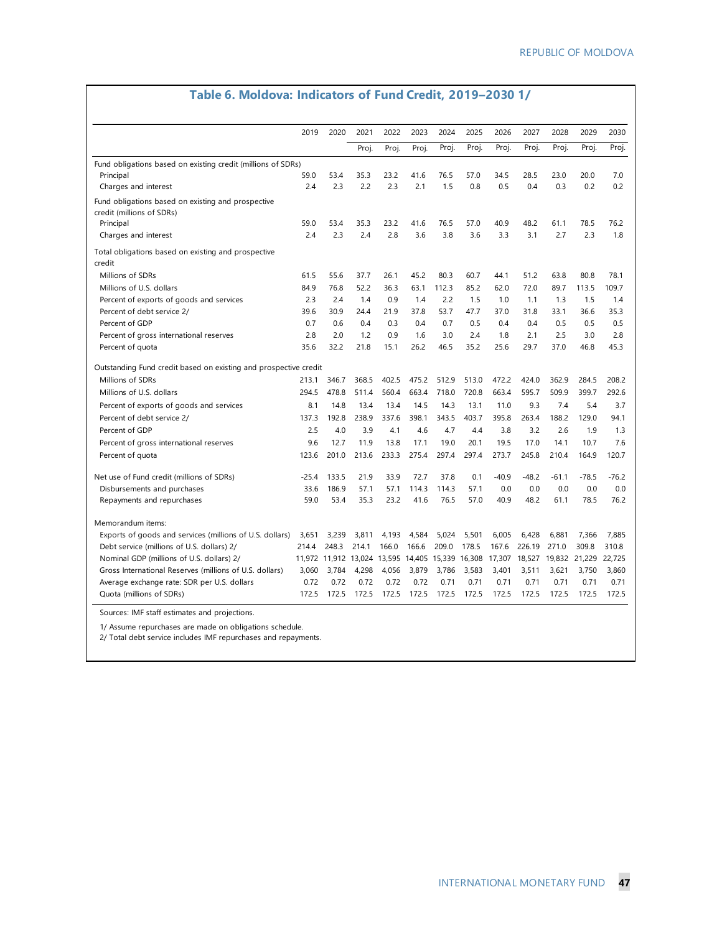## **Table 6. Moldova: Indicators of Fund Credit, 2019–2030 1/**

|                                                                                 | 2019    | 2020                                             | 2021  | 2022  | 2023  | 2024  | 2025  | 2026    | 2027    | 2028    | 2029          | 2030    |
|---------------------------------------------------------------------------------|---------|--------------------------------------------------|-------|-------|-------|-------|-------|---------|---------|---------|---------------|---------|
|                                                                                 |         |                                                  | Proj. | Proj. | Proj. | Proj. | Proj. | Proj.   | Proj.   | Proj.   | Proj.         | Proj.   |
| Fund obligations based on existing credit (millions of SDRs)                    |         |                                                  |       |       |       |       |       |         |         |         |               |         |
| Principal                                                                       | 59.0    | 53.4                                             | 35.3  | 23.2  | 41.6  | 76.5  | 57.0  | 34.5    | 28.5    | 23.0    | 20.0          | 7.0     |
| Charges and interest                                                            | 2.4     | 2.3                                              | 2.2   | 2.3   | 2.1   | 1.5   | 0.8   | 0.5     | 0.4     | 0.3     | 0.2           | 0.2     |
| Fund obligations based on existing and prospective<br>credit (millions of SDRs) |         |                                                  |       |       |       |       |       |         |         |         |               |         |
| Principal                                                                       | 59.0    | 53.4                                             | 35.3  | 23.2  | 41.6  | 76.5  | 57.0  | 40.9    | 48.2    | 61.1    | 78.5          | 76.2    |
| Charges and interest                                                            | 2.4     | 2.3                                              | 2.4   | 2.8   | 3.6   | 3.8   | 3.6   | 3.3     | 3.1     | 2.7     | 2.3           | 1.8     |
| Total obligations based on existing and prospective<br>credit                   |         |                                                  |       |       |       |       |       |         |         |         |               |         |
| Millions of SDRs                                                                | 61.5    | 55.6                                             | 37.7  | 26.1  | 45.2  | 80.3  | 60.7  | 44.1    | 51.2    | 63.8    | 80.8          | 78.1    |
| Millions of U.S. dollars                                                        | 84.9    | 76.8                                             | 52.2  | 36.3  | 63.1  | 112.3 | 85.2  | 62.0    | 72.0    | 89.7    | 113.5         | 109.7   |
| Percent of exports of goods and services                                        | 2.3     | 2.4                                              | 1.4   | 0.9   | 1.4   | 2.2   | 1.5   | 1.0     | 1.1     | 1.3     | 1.5           | 1.4     |
| Percent of debt service 2/                                                      | 39.6    | 30.9                                             | 24.4  | 21.9  | 37.8  | 53.7  | 47.7  | 37.0    | 31.8    | 33.1    | 36.6          | 35.3    |
| Percent of GDP                                                                  | 0.7     | 0.6                                              | 0.4   | 0.3   | 0.4   | 0.7   | 0.5   | 0.4     | 0.4     | 0.5     | 0.5           | 0.5     |
| Percent of gross international reserves                                         | 2.8     | 2.0                                              | 1.2   | 0.9   | 1.6   | 3.0   | 2.4   | 1.8     | 2.1     | 2.5     | 3.0           | 2.8     |
| Percent of quota                                                                | 35.6    | 32.2                                             | 21.8  | 15.1  | 26.2  | 46.5  | 35.2  | 25.6    | 29.7    | 37.0    | 46.8          | 45.3    |
| Outstanding Fund credit based on existing and prospective credit                |         |                                                  |       |       |       |       |       |         |         |         |               |         |
| Millions of SDRs                                                                | 213.1   | 346.7                                            | 368.5 | 402.5 | 475.2 | 512.9 | 513.0 | 472.2   | 424.0   | 362.9   | 284.5         | 208.2   |
| Millions of U.S. dollars                                                        | 294.5   | 478.8                                            | 511.4 | 560.4 | 663.4 | 718.0 | 720.8 | 663.4   | 595.7   | 509.9   | 399.7         | 292.6   |
| Percent of exports of goods and services                                        | 8.1     | 14.8                                             | 13.4  | 13.4  | 14.5  | 14.3  | 13.1  | 11.0    | 9.3     | 7.4     | 5.4           | 3.7     |
| Percent of debt service 2/                                                      | 137.3   | 192.8                                            | 238.9 | 337.6 | 398.1 | 343.5 | 403.7 | 395.8   | 263.4   | 188.2   | 129.0         | 94.1    |
| Percent of GDP                                                                  | 2.5     | 4.0                                              | 3.9   | 4.1   | 4.6   | 4.7   | 4.4   | 3.8     | 3.2     | 2.6     | 1.9           | 1.3     |
| Percent of gross international reserves                                         | 9.6     | 12.7                                             | 11.9  | 13.8  | 17.1  | 19.0  | 20.1  | 19.5    | 17.0    | 14.1    | 10.7          | 7.6     |
| Percent of quota                                                                | 123.6   | 201.0                                            | 213.6 | 233.3 | 275.4 | 297.4 | 297.4 | 273.7   | 245.8   | 210.4   | 164.9         | 120.7   |
|                                                                                 |         |                                                  |       |       |       |       |       |         |         |         |               |         |
| Net use of Fund credit (millions of SDRs)                                       | $-25.4$ | 133.5                                            | 21.9  | 33.9  | 72.7  | 37.8  | 0.1   | $-40.9$ | $-48.2$ | $-61.1$ | $-78.5$       | $-76.2$ |
| Disbursements and purchases                                                     | 33.6    | 186.9                                            | 57.1  | 57.1  | 114.3 | 114.3 | 57.1  | 0.0     | 0.0     | 0.0     | 0.0           | 0.0     |
| Repayments and repurchases                                                      | 59.0    | 53.4                                             | 35.3  | 23.2  | 41.6  | 76.5  | 57.0  | 40.9    | 48.2    | 61.1    | 78.5          | 76.2    |
| Memorandum items:                                                               |         |                                                  |       |       |       |       |       |         |         |         |               |         |
| Exports of goods and services (millions of U.S. dollars)                        | 3.651   | 3.239                                            | 3.811 | 4.193 | 4.584 | 5.024 | 5.501 | 6.005   | 6.428   | 6.881   | 7.366         | 7.885   |
| Debt service (millions of U.S. dollars) 2/                                      | 214.4   | 248.3                                            | 214.1 | 166.0 | 166.6 | 209.0 | 178.5 | 167.6   | 226.19  | 271.0   | 309.8         | 310.8   |
| Nominal GDP (millions of U.S. dollars) 2/                                       |         | 11,972 11,912 13,024 13,595 14,405 15,339 16,308 |       |       |       |       |       | 17,307  | 18,527  |         | 19,832 21,229 | 22,725  |
| Gross International Reserves (millions of U.S. dollars)                         | 3.060   | 3.784                                            | 4.298 | 4.056 | 3,879 | 3,786 | 3.583 | 3,401   | 3.511   | 3.621   | 3.750         | 3.860   |
| Average exchange rate: SDR per U.S. dollars                                     | 0.72    | 0.72                                             | 0.72  | 0.72  | 0.72  | 0.71  | 0.71  | 0.71    | 0.71    | 0.71    | 0.71          | 0.71    |
| Quota (millions of SDRs)                                                        | 172.5   | 172.5                                            | 172.5 | 172.5 | 172.5 | 172.5 | 172.5 | 172.5   | 172.5   | 172.5   | 172.5         | 172.5   |
| Sources: IMF staff estimates and projections.                                   |         |                                                  |       |       |       |       |       |         |         |         |               |         |

1/ Assume repurchases are made on obligations schedule.

2/ Total debt service includes IMF repurchases and repayments.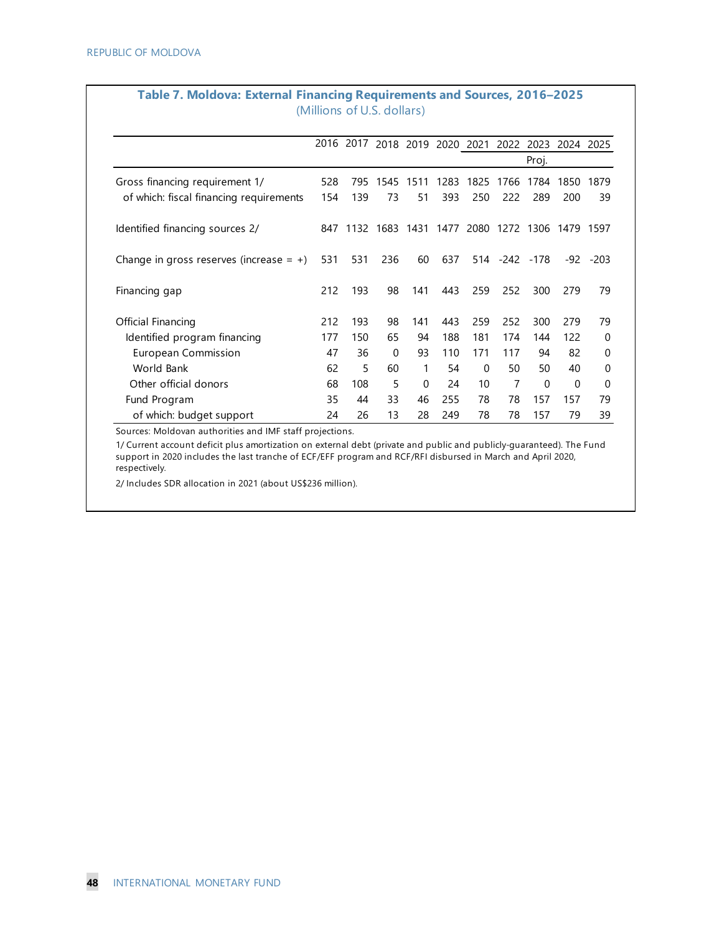|                                            | (IVIIIIIIUII) UI U.J. UUIAIJ) |      |                          |           |      |           |               |                     |          |        |
|--------------------------------------------|-------------------------------|------|--------------------------|-----------|------|-----------|---------------|---------------------|----------|--------|
|                                            | 2016                          |      | 2017 2018 2019 2020 2021 |           |      |           |               | 2022 2023 2024 2025 |          |        |
|                                            |                               |      |                          |           |      |           |               | Proj.               |          |        |
| Gross financing requirement 1/             | 528                           | 795  | 1545                     | 1511      | 1283 | 1825      | 1766          | 1784                | 1850     | 1879   |
| of which: fiscal financing requirements    | 154                           | 139  | 73                       | 51        | 393  | 250       | 222           | 289                 | 200      | 39     |
| Identified financing sources 2/            | 847                           | 1132 |                          | 1683 1431 |      | 1477 2080 |               | 1272 1306 1479      |          | 1597   |
| Change in gross reserves (increase $= +$ ) | 531                           | 531  | 236                      | 60        | 637  |           | 514 -242 -178 |                     | -92      | $-203$ |
| Financing gap                              | 212                           | 193  | 98                       | 141       | 443  | 259       | 252           | 300                 | 279      | 79     |
| Official Financing                         | 212                           | 193  | 98                       | 141       | 443  | 259       | 252           | 300                 | 279      | 79     |
| Identified program financing               | 177                           | 150  | 65                       | 94        | 188  | 181       | 174           | 144                 | 122      | 0      |
| <b>European Commission</b>                 | 47                            | 36   | $\Omega$                 | 93        | 110  | 171       | 117           | 94                  | 82       | 0      |
| World Bank                                 | 62                            | 5    | 60                       | 1         | 54   | 0         | 50            | 50                  | 40       | 0      |
| Other official donors                      | 68                            | 108  | 5                        | $\Omega$  | 24   | 10        | 7             | $\Omega$            | $\Omega$ | 0      |
| Fund Program                               | 35                            | 44   | 33                       | 46        | 255  | 78        | 78            | 157                 | 157      | 79     |
| of which: budget support                   | 24                            | 26   | 13                       | 28        | 249  | 78        | 78            | 157                 | 79       | 39     |

#### **Table 7. Moldova: External Financing Requirements and Sources, 2016–2025** (Millions of U.S. dollars)

Sources: Moldovan authorities and IMF staff projections.

1/ Current account deficit plus amortization on external debt (private and public and publicly-guaranteed). The Fund support in 2020 includes the last tranche of ECF/EFF program and RCF/RFI disbursed in March and April 2020, respectively.

2/ Includes SDR allocation in 2021 (about US\$236 million).